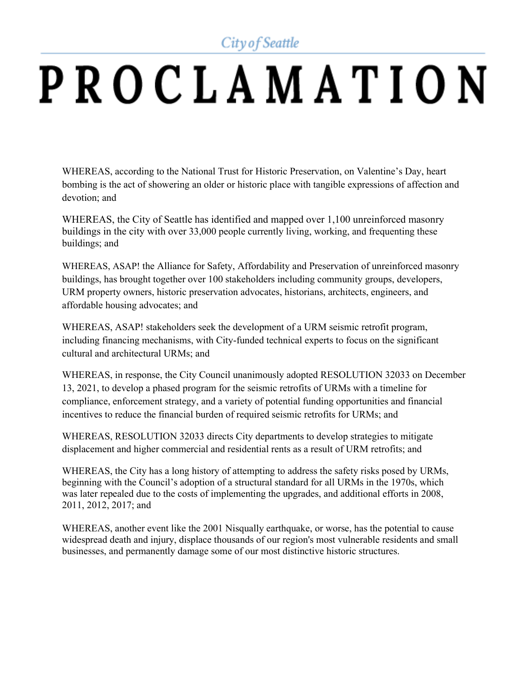City of Seattle

## PROCLAMATION

WHEREAS, according to the National Trust for Historic Preservation, on Valentine's Day, heart bombing is the act of showering an older or historic place with tangible expressions of affection and devotion; and

WHEREAS, the City of Seattle has identified and mapped over 1,100 unreinforced masonry buildings in the city with over 33,000 people currently living, working, and frequenting these buildings; and

WHEREAS, ASAP! the Alliance for Safety, Affordability and Preservation of unreinforced masonry buildings, has brought together over 100 stakeholders including community groups, developers, URM property owners, historic preservation advocates, historians, architects, engineers, and affordable housing advocates; and

WHEREAS, ASAP! stakeholders seek the development of a URM seismic retrofit program, including financing mechanisms, with City-funded technical experts to focus on the significant cultural and architectural URMs; and

WHEREAS, in response, the City Council unanimously adopted RESOLUTION 32033 on December 13, 2021, to develop a phased program for the seismic retrofits of URMs with a timeline for compliance, enforcement strategy, and a variety of potential funding opportunities and financial incentives to reduce the financial burden of required seismic retrofits for URMs; and

WHEREAS, RESOLUTION 32033 directs City departments to develop strategies to mitigate displacement and higher commercial and residential rents as a result of URM retrofits; and

WHEREAS, the City has a long history of attempting to address the safety risks posed by URMs, beginning with the Council's adoption of a structural standard for all URMs in the 1970s, which was later repealed due to the costs of implementing the upgrades, and additional efforts in 2008, 2011, 2012, 2017; and

WHEREAS, another event like the 2001 Nisqually earthquake, or worse, has the potential to cause widespread death and injury, displace thousands of our region's most vulnerable residents and small businesses, and permanently damage some of our most distinctive historic structures.